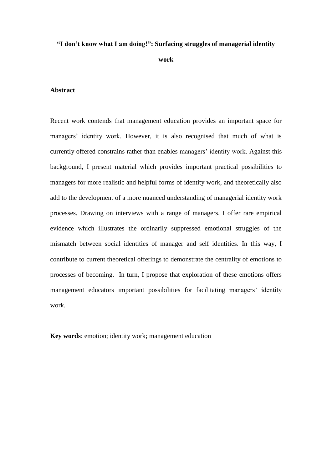# **"I don't know what I am doing!": Surfacing struggles of managerial identity work**

# **Abstract**

Recent work contends that management education provides an important space for managers' identity work. However, it is also recognised that much of what is currently offered constrains rather than enables managers' identity work. Against this background, I present material which provides important practical possibilities to managers for more realistic and helpful forms of identity work, and theoretically also add to the development of a more nuanced understanding of managerial identity work processes. Drawing on interviews with a range of managers, I offer rare empirical evidence which illustrates the ordinarily suppressed emotional struggles of the mismatch between social identities of manager and self identities. In this way, I contribute to current theoretical offerings to demonstrate the centrality of emotions to processes of becoming. In turn, I propose that exploration of these emotions offers management educators important possibilities for facilitating managers' identity work.

**Key words**: emotion; identity work; management education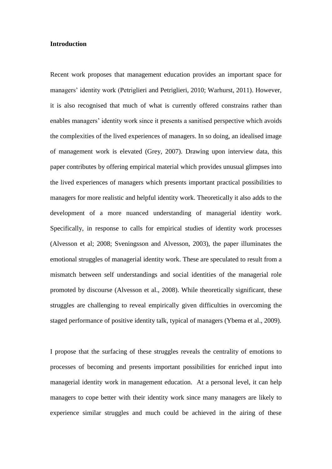#### **Introduction**

Recent work proposes that management education provides an important space for managers' identity work (Petriglieri and Petriglieri, 2010; Warhurst, 2011). However, it is also recognised that much of what is currently offered constrains rather than enables managers' identity work since it presents a sanitised perspective which avoids the complexities of the lived experiences of managers. In so doing, an idealised image of management work is elevated (Grey, 2007). Drawing upon interview data, this paper contributes by offering empirical material which provides unusual glimpses into the lived experiences of managers which presents important practical possibilities to managers for more realistic and helpful identity work. Theoretically it also adds to the development of a more nuanced understanding of managerial identity work. Specifically, in response to calls for empirical studies of identity work processes (Alvesson et al; 2008; Sveningsson and Alvesson, 2003), the paper illuminates the emotional struggles of managerial identity work. These are speculated to result from a mismatch between self understandings and social identities of the managerial role promoted by discourse (Alvesson et al., 2008). While theoretically significant, these struggles are challenging to reveal empirically given difficulties in overcoming the staged performance of positive identity talk, typical of managers (Ybema et al., 2009).

I propose that the surfacing of these struggles reveals the centrality of emotions to processes of becoming and presents important possibilities for enriched input into managerial identity work in management education. At a personal level, it can help managers to cope better with their identity work since many managers are likely to experience similar struggles and much could be achieved in the airing of these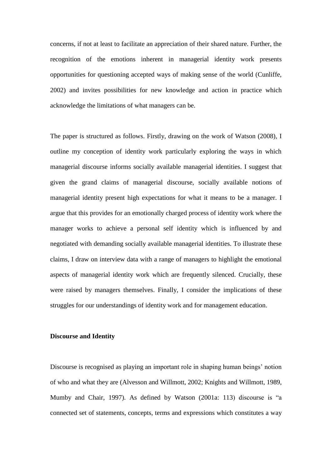concerns, if not at least to facilitate an appreciation of their shared nature. Further, the recognition of the emotions inherent in managerial identity work presents opportunities for questioning accepted ways of making sense of the world (Cunliffe, 2002) and invites possibilities for new knowledge and action in practice which acknowledge the limitations of what managers can be.

The paper is structured as follows. Firstly, drawing on the work of Watson (2008), I outline my conception of identity work particularly exploring the ways in which managerial discourse informs socially available managerial identities. I suggest that given the grand claims of managerial discourse, socially available notions of managerial identity present high expectations for what it means to be a manager. I argue that this provides for an emotionally charged process of identity work where the manager works to achieve a personal self identity which is influenced by and negotiated with demanding socially available managerial identities. To illustrate these claims, I draw on interview data with a range of managers to highlight the emotional aspects of managerial identity work which are frequently silenced. Crucially, these were raised by managers themselves. Finally, I consider the implications of these struggles for our understandings of identity work and for management education.

# **Discourse and Identity**

Discourse is recognised as playing an important role in shaping human beings' notion of who and what they are (Alvesson and Willmott, 2002; Knights and Willmott, 1989, Mumby and Chair, 1997). As defined by Watson (2001a: 113) discourse is "a connected set of statements, concepts, terms and expressions which constitutes a way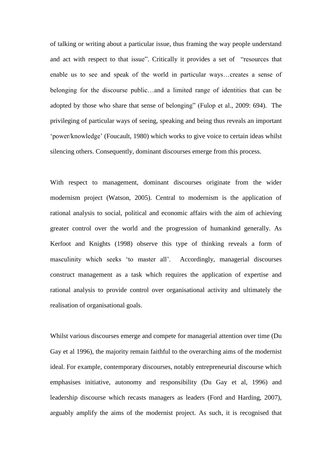of talking or writing about a particular issue, thus framing the way people understand and act with respect to that issue". Critically it provides a set of "resources that enable us to see and speak of the world in particular ways…creates a sense of belonging for the discourse public…and a limited range of identities that can be adopted by those who share that sense of belonging" (Fulop et al., 2009: 694). The privileging of particular ways of seeing, speaking and being thus reveals an important 'power/knowledge' (Foucault, 1980) which works to give voice to certain ideas whilst silencing others. Consequently, dominant discourses emerge from this process.

With respect to management, dominant discourses originate from the wider modernism project (Watson, 2005). Central to modernism is the application of rational analysis to social, political and economic affairs with the aim of achieving greater control over the world and the progression of humankind generally. As Kerfoot and Knights (1998) observe this type of thinking reveals a form of masculinity which seeks 'to master all'. Accordingly, managerial discourses construct management as a task which requires the application of expertise and rational analysis to provide control over organisational activity and ultimately the realisation of organisational goals.

Whilst various discourses emerge and compete for managerial attention over time (Du Gay et al 1996), the majority remain faithful to the overarching aims of the modernist ideal. For example, contemporary discourses, notably entrepreneurial discourse which emphasises initiative, autonomy and responsibility (Du Gay et al, 1996) and leadership discourse which recasts managers as leaders (Ford and Harding, 2007), arguably amplify the aims of the modernist project. As such, it is recognised that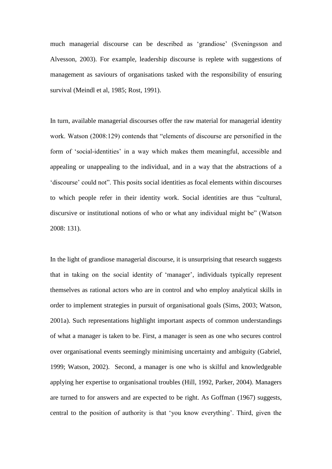much managerial discourse can be described as 'grandiose' (Sveningsson and Alvesson, 2003). For example, leadership discourse is replete with suggestions of management as saviours of organisations tasked with the responsibility of ensuring survival (Meindl et al, 1985; Rost, 1991).

In turn, available managerial discourses offer the raw material for managerial identity work. Watson (2008:129) contends that "elements of discourse are personified in the form of 'social-identities' in a way which makes them meaningful, accessible and appealing or unappealing to the individual, and in a way that the abstractions of a 'discourse' could not". This posits social identities as focal elements within discourses to which people refer in their identity work. Social identities are thus "cultural, discursive or institutional notions of who or what any individual might be" (Watson 2008: 131).

In the light of grandiose managerial discourse, it is unsurprising that research suggests that in taking on the social identity of 'manager', individuals typically represent themselves as rational actors who are in control and who employ analytical skills in order to implement strategies in pursuit of organisational goals (Sims, 2003; Watson, 2001a). Such representations highlight important aspects of common understandings of what a manager is taken to be. First, a manager is seen as one who secures control over organisational events seemingly minimising uncertainty and ambiguity (Gabriel, 1999; Watson, 2002). Second, a manager is one who is skilful and knowledgeable applying her expertise to organisational troubles (Hill, 1992, Parker, 2004). Managers are turned to for answers and are expected to be right. As Goffman (1967) suggests, central to the position of authority is that 'you know everything'. Third, given the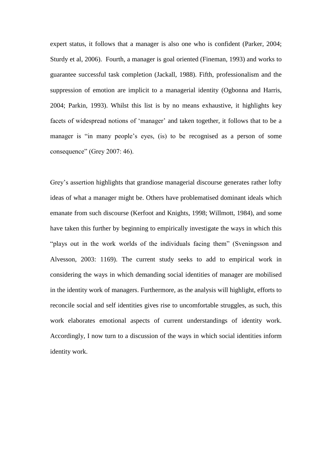expert status, it follows that a manager is also one who is confident (Parker, 2004; Sturdy et al, 2006). Fourth, a manager is goal oriented (Fineman, 1993) and works to guarantee successful task completion (Jackall, 1988). Fifth, professionalism and the suppression of emotion are implicit to a managerial identity (Ogbonna and Harris, 2004; Parkin, 1993). Whilst this list is by no means exhaustive, it highlights key facets of widespread notions of 'manager' and taken together, it follows that to be a manager is "in many people's eyes, (is) to be recognised as a person of some consequence" (Grey 2007: 46).

Grey's assertion highlights that grandiose managerial discourse generates rather lofty ideas of what a manager might be. Others have problematised dominant ideals which emanate from such discourse (Kerfoot and Knights, 1998; Willmott, 1984), and some have taken this further by beginning to empirically investigate the ways in which this "plays out in the work worlds of the individuals facing them" (Sveningsson and Alvesson, 2003: 1169). The current study seeks to add to empirical work in considering the ways in which demanding social identities of manager are mobilised in the identity work of managers. Furthermore, as the analysis will highlight, efforts to reconcile social and self identities gives rise to uncomfortable struggles, as such, this work elaborates emotional aspects of current understandings of identity work. Accordingly, I now turn to a discussion of the ways in which social identities inform identity work.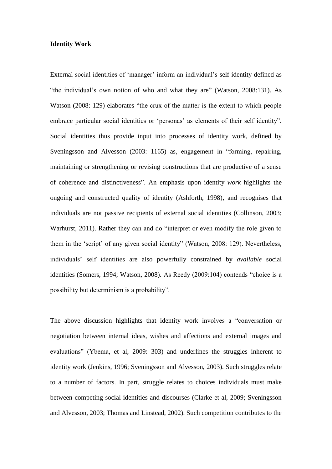#### **Identity Work**

External social identities of 'manager' inform an individual's self identity defined as "the individual's own notion of who and what they are" (Watson, 2008:131). As Watson (2008: 129) elaborates "the crux of the matter is the extent to which people embrace particular social identities or 'personas' as elements of their self identity". Social identities thus provide input into processes of identity work, defined by Sveningsson and Alvesson (2003: 1165) as, engagement in "forming, repairing, maintaining or strengthening or revising constructions that are productive of a sense of coherence and distinctiveness". An emphasis upon identity *work* highlights the ongoing and constructed quality of identity (Ashforth, 1998), and recognises that individuals are not passive recipients of external social identities (Collinson, 2003; Warhurst, 2011). Rather they can and do "interpret or even modify the role given to them in the 'script' of any given social identity" (Watson, 2008: 129). Nevertheless, individuals' self identities are also powerfully constrained by *available* social identities (Somers, 1994; Watson, 2008). As Reedy (2009:104) contends "choice is a possibility but determinism is a probability".

The above discussion highlights that identity work involves a "conversation or negotiation between internal ideas, wishes and affections and external images and evaluations" (Ybema, et al, 2009: 303) and underlines the struggles inherent to identity work (Jenkins, 1996; Sveningsson and Alvesson, 2003). Such struggles relate to a number of factors. In part, struggle relates to choices individuals must make between competing social identities and discourses (Clarke et al, 2009; Sveningsson and Alvesson, 2003; Thomas and Linstead, 2002). Such competition contributes to the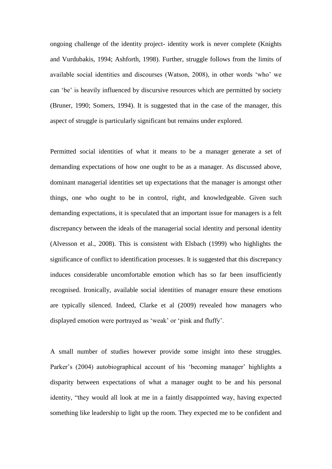ongoing challenge of the identity project- identity work is never complete (Knights and Vurdubakis, 1994; Ashforth, 1998). Further, struggle follows from the limits of available social identities and discourses (Watson, 2008), in other words 'who' we can 'be' is heavily influenced by discursive resources which are permitted by society (Bruner, 1990; Somers, 1994). It is suggested that in the case of the manager, this aspect of struggle is particularly significant but remains under explored.

Permitted social identities of what it means to be a manager generate a set of demanding expectations of how one ought to be as a manager. As discussed above, dominant managerial identities set up expectations that the manager is amongst other things, one who ought to be in control, right, and knowledgeable. Given such demanding expectations, it is speculated that an important issue for managers is a felt discrepancy between the ideals of the managerial social identity and personal identity (Alvesson et al., 2008). This is consistent with Elsbach (1999) who highlights the significance of conflict to identification processes. It is suggested that this discrepancy induces considerable uncomfortable emotion which has so far been insufficiently recognised. Ironically, available social identities of manager ensure these emotions are typically silenced. Indeed, Clarke et al (2009) revealed how managers who displayed emotion were portrayed as 'weak' or 'pink and fluffy'.

A small number of studies however provide some insight into these struggles. Parker's (2004) autobiographical account of his 'becoming manager' highlights a disparity between expectations of what a manager ought to be and his personal identity, "they would all look at me in a faintly disappointed way, having expected something like leadership to light up the room. They expected me to be confident and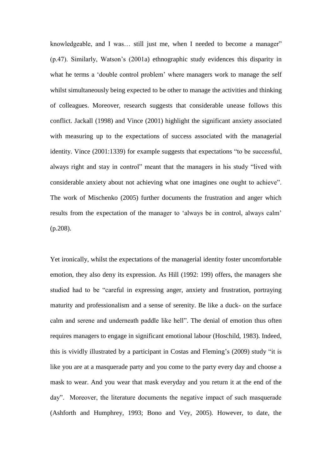knowledgeable, and I was… still just me, when I needed to become a manager" (p.47). Similarly, Watson's (2001a) ethnographic study evidences this disparity in what he terms a 'double control problem' where managers work to manage the self whilst simultaneously being expected to be other to manage the activities and thinking of colleagues. Moreover, research suggests that considerable unease follows this conflict. Jackall (1998) and Vince (2001) highlight the significant anxiety associated with measuring up to the expectations of success associated with the managerial identity. Vince (2001:1339) for example suggests that expectations "to be successful, always right and stay in control" meant that the managers in his study "lived with considerable anxiety about not achieving what one imagines one ought to achieve". The work of Mischenko (2005) further documents the frustration and anger which results from the expectation of the manager to 'always be in control, always calm' (p.208).

Yet ironically, whilst the expectations of the managerial identity foster uncomfortable emotion, they also deny its expression. As Hill (1992: 199) offers, the managers she studied had to be "careful in expressing anger, anxiety and frustration, portraying maturity and professionalism and a sense of serenity. Be like a duck- on the surface calm and serene and underneath paddle like hell". The denial of emotion thus often requires managers to engage in significant emotional labour (Hoschild, 1983). Indeed, this is vividly illustrated by a participant in Costas and Fleming's (2009) study "it is like you are at a masquerade party and you come to the party every day and choose a mask to wear. And you wear that mask everyday and you return it at the end of the day". Moreover, the literature documents the negative impact of such masquerade (Ashforth and Humphrey, 1993; Bono and Vey, 2005). However, to date, the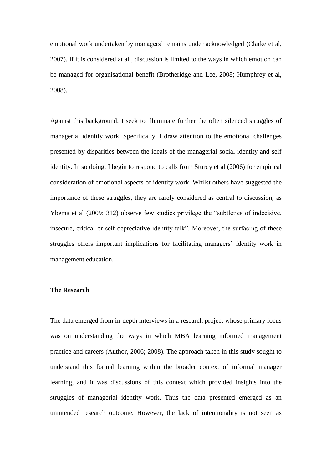emotional work undertaken by managers' remains under acknowledged (Clarke et al, 2007). If it is considered at all, discussion is limited to the ways in which emotion can be managed for organisational benefit (Brotheridge and Lee, 2008; Humphrey et al, 2008).

Against this background, I seek to illuminate further the often silenced struggles of managerial identity work. Specifically, I draw attention to the emotional challenges presented by disparities between the ideals of the managerial social identity and self identity. In so doing, I begin to respond to calls from Sturdy et al (2006) for empirical consideration of emotional aspects of identity work. Whilst others have suggested the importance of these struggles, they are rarely considered as central to discussion, as Ybema et al (2009: 312) observe few studies privilege the "subtleties of indecisive, insecure, critical or self depreciative identity talk". Moreover, the surfacing of these struggles offers important implications for facilitating managers' identity work in management education.

# **The Research**

The data emerged from in-depth interviews in a research project whose primary focus was on understanding the ways in which MBA learning informed management practice and careers (Author, 2006; 2008). The approach taken in this study sought to understand this formal learning within the broader context of informal manager learning, and it was discussions of this context which provided insights into the struggles of managerial identity work. Thus the data presented emerged as an unintended research outcome. However, the lack of intentionality is not seen as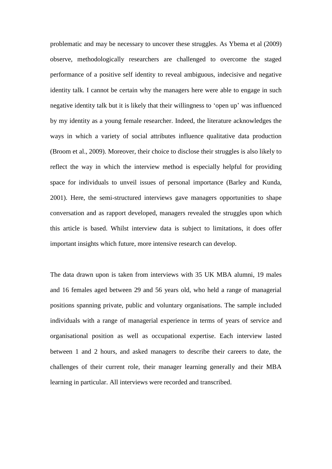problematic and may be necessary to uncover these struggles. As Ybema et al (2009) observe, methodologically researchers are challenged to overcome the staged performance of a positive self identity to reveal ambiguous, indecisive and negative identity talk. I cannot be certain why the managers here were able to engage in such negative identity talk but it is likely that their willingness to 'open up' was influenced by my identity as a young female researcher. Indeed, the literature acknowledges the ways in which a variety of social attributes influence qualitative data production (Broom et al., 2009). Moreover, their choice to disclose their struggles is also likely to reflect the way in which the interview method is especially helpful for providing space for individuals to unveil issues of personal importance (Barley and Kunda, 2001). Here, the semi-structured interviews gave managers opportunities to shape conversation and as rapport developed, managers revealed the struggles upon which this article is based. Whilst interview data is subject to limitations, it does offer important insights which future, more intensive research can develop.

The data drawn upon is taken from interviews with 35 UK MBA alumni, 19 males and 16 females aged between 29 and 56 years old, who held a range of managerial positions spanning private, public and voluntary organisations. The sample included individuals with a range of managerial experience in terms of years of service and organisational position as well as occupational expertise. Each interview lasted between 1 and 2 hours, and asked managers to describe their careers to date, the challenges of their current role, their manager learning generally and their MBA learning in particular. All interviews were recorded and transcribed.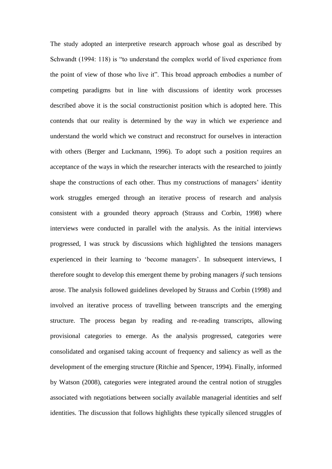The study adopted an interpretive research approach whose goal as described by Schwandt (1994: 118) is "to understand the complex world of lived experience from the point of view of those who live it". This broad approach embodies a number of competing paradigms but in line with discussions of identity work processes described above it is the social constructionist position which is adopted here. This contends that our reality is determined by the way in which we experience and understand the world which we construct and reconstruct for ourselves in interaction with others (Berger and Luckmann, 1996). To adopt such a position requires an acceptance of the ways in which the researcher interacts with the researched to jointly shape the constructions of each other. Thus my constructions of managers' identity work struggles emerged through an iterative process of research and analysis consistent with a grounded theory approach (Strauss and Corbin, 1998) where interviews were conducted in parallel with the analysis. As the initial interviews progressed, I was struck by discussions which highlighted the tensions managers experienced in their learning to 'become managers'. In subsequent interviews, I therefore sought to develop this emergent theme by probing managers *if* such tensions arose. The analysis followed guidelines developed by Strauss and Corbin (1998) and involved an iterative process of travelling between transcripts and the emerging structure. The process began by reading and re-reading transcripts, allowing provisional categories to emerge. As the analysis progressed, categories were consolidated and organised taking account of frequency and saliency as well as the development of the emerging structure (Ritchie and Spencer, 1994). Finally, informed by Watson (2008), categories were integrated around the central notion of struggles associated with negotiations between socially available managerial identities and self identities. The discussion that follows highlights these typically silenced struggles of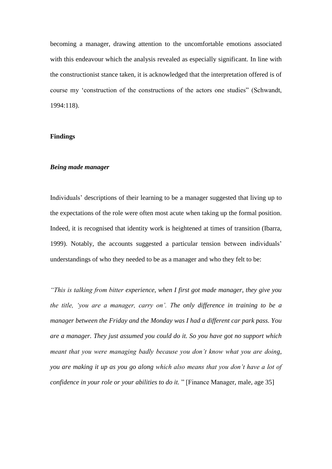becoming a manager, drawing attention to the uncomfortable emotions associated with this endeavour which the analysis revealed as especially significant. In line with the constructionist stance taken, it is acknowledged that the interpretation offered is of course my 'construction of the constructions of the actors one studies" (Schwandt, 1994:118).

#### **Findings**

#### *Being made manager*

Individuals' descriptions of their learning to be a manager suggested that living up to the expectations of the role were often most acute when taking up the formal position. Indeed, it is recognised that identity work is heightened at times of transition (Ibarra, 1999). Notably, the accounts suggested a particular tension between individuals' understandings of who they needed to be as a manager and who they felt to be:

*"This is talking from bitter experience, when I first got made manager, they give you the title, 'you are a manager, carry on'. The only difference in training to be a manager between the Friday and the Monday was I had a different car park pass. You are a manager. They just assumed you could do it. So you have got no support which meant that you were managing badly because you don't know what you are doing, you are making it up as you go along which also means that you don't have a lot of confidence in your role or your abilities to do it.* " [Finance Manager, male, age 35]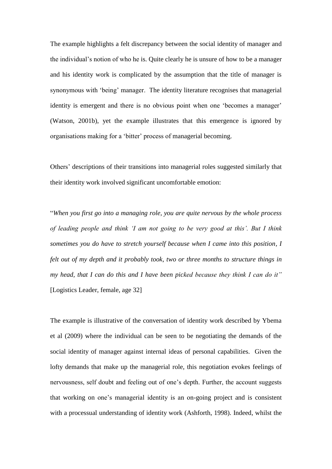The example highlights a felt discrepancy between the social identity of manager and the individual's notion of who he is. Quite clearly he is unsure of how to be a manager and his identity work is complicated by the assumption that the title of manager is synonymous with 'being' manager. The identity literature recognises that managerial identity is emergent and there is no obvious point when one 'becomes a manager' (Watson, 2001b), yet the example illustrates that this emergence is ignored by organisations making for a 'bitter' process of managerial becoming.

Others' descriptions of their transitions into managerial roles suggested similarly that their identity work involved significant uncomfortable emotion:

"*When you first go into a managing role, you are quite nervous by the whole process of leading people and think 'I am not going to be very good at this'. But I think sometimes you do have to stretch yourself because when I came into this position, I felt out of my depth and it probably took, two or three months to structure things in my head, that I can do this and I have been picked because they think I can do it"* [Logistics Leader, female, age 32]

The example is illustrative of the conversation of identity work described by Ybema et al (2009) where the individual can be seen to be negotiating the demands of the social identity of manager against internal ideas of personal capabilities. Given the lofty demands that make up the managerial role, this negotiation evokes feelings of nervousness, self doubt and feeling out of one's depth. Further, the account suggests that working on one's managerial identity is an on-going project and is consistent with a processual understanding of identity work (Ashforth, 1998). Indeed, whilst the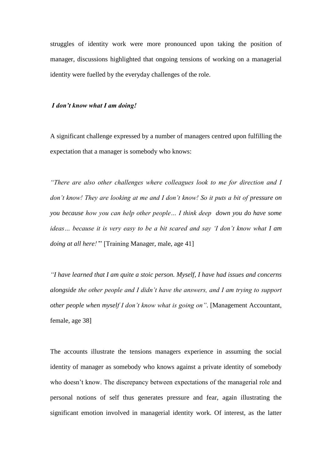struggles of identity work were more pronounced upon taking the position of manager, discussions highlighted that ongoing tensions of working on a managerial identity were fuelled by the everyday challenges of the role.

#### *I don't know what I am doing!*

A significant challenge expressed by a number of managers centred upon fulfilling the expectation that a manager is somebody who knows:

*"There are also other challenges where colleagues look to me for direction and I don't know! They are looking at me and I don't know! So it puts a bit of pressure on you because how you can help other people… I think deep down you do have some ideas… because it is very easy to be a bit scared and say 'I don't know what I am doing at all here!'*" [Training Manager, male, age 41]

*"I have learned that I am quite a stoic person. Myself, I have had issues and concerns alongside the other people and I didn't have the answers, and I am trying to support other people when myself I don't know what is going on"*. [Management Accountant, female, age 38]

The accounts illustrate the tensions managers experience in assuming the social identity of manager as somebody who knows against a private identity of somebody who doesn't know. The discrepancy between expectations of the managerial role and personal notions of self thus generates pressure and fear, again illustrating the significant emotion involved in managerial identity work. Of interest, as the latter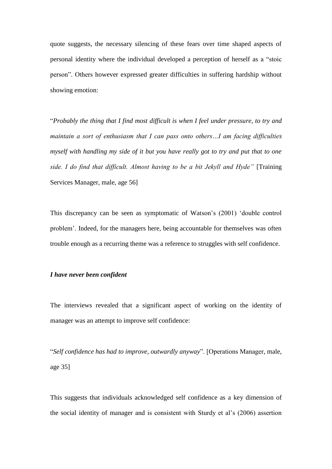quote suggests, the necessary silencing of these fears over time shaped aspects of personal identity where the individual developed a perception of herself as a "stoic person". Others however expressed greater difficulties in suffering hardship without showing emotion:

"*Probably the thing that I find most difficult is when I feel under pressure, to try and maintain a sort of enthusiasm that I can pass onto others…I am facing difficulties myself with handling my side of it but you have really got to try and put that to one side. I do find that difficult. Almost having to be a bit Jekyll and Hyde"* [Training Services Manager, male, age 56]

This discrepancy can be seen as symptomatic of Watson's (2001) 'double control problem'. Indeed, for the managers here, being accountable for themselves was often trouble enough as a recurring theme was a reference to struggles with self confidence.

# *I have never been confident*

The interviews revealed that a significant aspect of working on the identity of manager was an attempt to improve self confidence:

"*Self confidence has had to improve, outwardly anyway*". [Operations Manager, male, age 35]

This suggests that individuals acknowledged self confidence as a key dimension of the social identity of manager and is consistent with Sturdy et al's (2006) assertion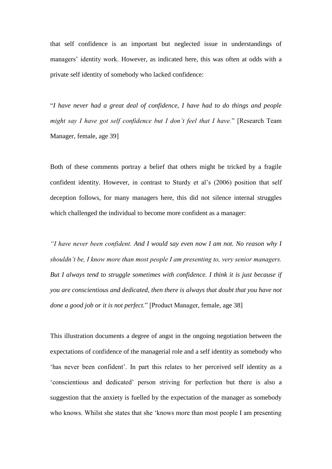that self confidence is an important but neglected issue in understandings of managers' identity work. However, as indicated here, this was often at odds with a private self identity of somebody who lacked confidence:

"*I have never had a great deal of confidence, I have had to do things and people might say I have got self confidence but I don't feel that I have.*" [Research Team Manager, female, age 39]

Both of these comments portray a belief that others might be tricked by a fragile confident identity. However, in contrast to Sturdy et al's (2006) position that self deception follows, for many managers here, this did not silence internal struggles which challenged the individual to become more confident as a manager:

*"I have never been confident. And I would say even now I am not. No reason why I shouldn't be, I know more than most people I am presenting to, very senior managers. But I always tend to struggle sometimes with confidence. I think it is just because if you are conscientious and dedicated, then there is always that doubt that you have not done a good job or it is not perfect.*" [Product Manager, female, age 38]

This illustration documents a degree of angst in the ongoing negotiation between the expectations of confidence of the managerial role and a self identity as somebody who 'has never been confident'. In part this relates to her perceived self identity as a 'conscientious and dedicated' person striving for perfection but there is also a suggestion that the anxiety is fuelled by the expectation of the manager as somebody who knows. Whilst she states that she 'knows more than most people I am presenting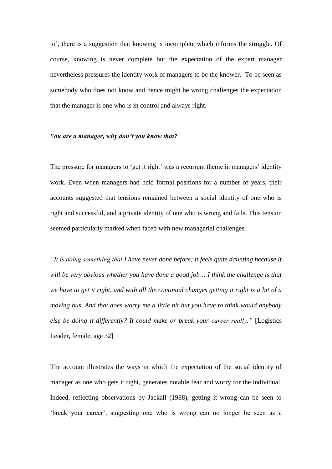to', there is a suggestion that knowing is incomplete which informs the struggle. Of course, knowing is never complete but the expectation of the expert manager nevertheless pressures the identity work of managers to be the knower. To be seen as somebody who does not know and hence might be wrong challenges the expectation that the manager is one who is in control and always right.

#### *You are a manager, why don't you know that?*

The pressure for managers to 'get it right' was a recurrent theme in managers' identity work. Even when managers had held formal positions for a number of years, their accounts suggested that tensions remained between a social identity of one who is right and successful, and a private identity of one who is wrong and fails. This tension seemed particularly marked when faced with new managerial challenges.

*"It is doing something that I have never done before; it feels quite daunting because it will be very obvious whether you have done a good job… I think the challenge is that we have to get it right, and with all the continual changes getting it right is a bit of a moving bus. And that does worry me a little bit but you have to think would anybody else be doing it differently? It could make or break your career really."* [Logistics Leader, female, age 32]

The account illustrates the ways in which the expectation of the social identity of manager as one who gets it right, generates notable fear and worry for the individual. Indeed, reflecting observations by Jackall (1988), getting it wrong can be seen to 'break your career', suggesting one who is wrong can no longer be seen as a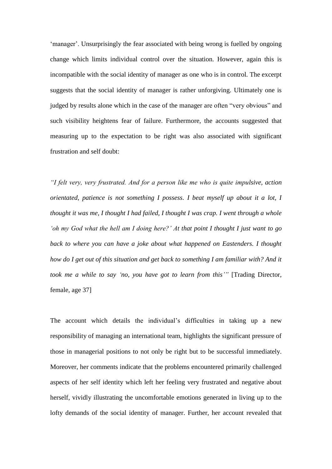'manager'. Unsurprisingly the fear associated with being wrong is fuelled by ongoing change which limits individual control over the situation. However, again this is incompatible with the social identity of manager as one who is in control. The excerpt suggests that the social identity of manager is rather unforgiving. Ultimately one is judged by results alone which in the case of the manager are often "very obvious" and such visibility heightens fear of failure. Furthermore, the accounts suggested that measuring up to the expectation to be right was also associated with significant frustration and self doubt:

*"I felt very, very frustrated. And for a person like me who is quite impulsive, action orientated, patience is not something I possess. I beat myself up about it a lot, I thought it was me, I thought I had failed, I thought I was crap. I went through a whole 'oh my God what the hell am I doing here?' At that point I thought I just want to go back to where you can have a joke about what happened on Eastenders. I thought how do I get out of this situation and get back to something I am familiar with? And it took me a while to say 'no, you have got to learn from this'"* [Trading Director, female, age 37]

The account which details the individual's difficulties in taking up a new responsibility of managing an international team, highlights the significant pressure of those in managerial positions to not only be right but to be successful immediately. Moreover, her comments indicate that the problems encountered primarily challenged aspects of her self identity which left her feeling very frustrated and negative about herself, vividly illustrating the uncomfortable emotions generated in living up to the lofty demands of the social identity of manager. Further, her account revealed that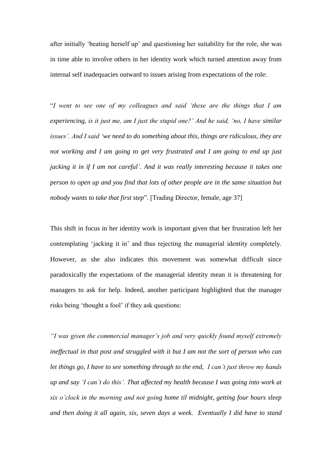after initially 'beating herself up' and questioning her suitability for the role, she was in time able to involve others in her identity work which turned attention away from internal self inadequacies outward to issues arising from expectations of the role:

"*I went to see one of my colleagues and said 'these are the things that I am experiencing, is it just me, am I just the stupid one?' And he said, 'no, I have similar issues'. And I said 'we need to do something about this, things are ridiculous, they are not working and I am going to get very frustrated and I am going to end up just jacking it in if I am not careful'. And it was really interesting because it takes one person to open up and you find that lots of other people are in the same situation but nobody wants to take that first step*". [Trading Director, female, age 37]

This shift in focus in her identity work is important given that her frustration left her contemplating 'jacking it in' and thus rejecting the managerial identity completely. However, as she also indicates this movement was somewhat difficult since paradoxically the expectations of the managerial identity mean it is threatening for managers to ask for help. Indeed, another participant highlighted that the manager risks being 'thought a fool' if they ask questions:

*"I was given the commercial manager's job and very quickly found myself extremely ineffectual in that post and struggled with it but I am not the sort of person who can let things go, I have to see something through to the end, I can't just throw my hands up and say 'I can't do this'. That affected my health because I was going into work at six o'clock in the morning and not going home til midnight, getting four hours sleep and then doing it all again, six, seven days a week. Eventually I did have to stand*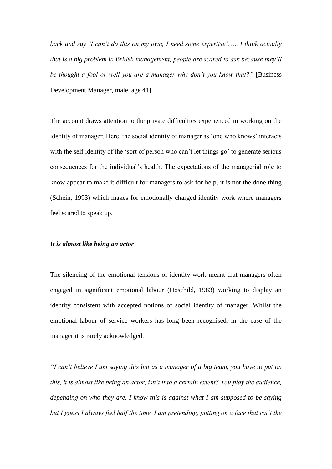*back and say 'I can't do this on my own, I need some expertise'*….. *I think actually that is a big problem in British management, people are scared to ask because they'll be thought a fool or well you are a manager why don't you know that?"* [Business Development Manager, male, age 41]

The account draws attention to the private difficulties experienced in working on the identity of manager. Here, the social identity of manager as 'one who knows' interacts with the self identity of the 'sort of person who can't let things go' to generate serious consequences for the individual's health. The expectations of the managerial role to know appear to make it difficult for managers to ask for help, it is not the done thing (Schein, 1993) which makes for emotionally charged identity work where managers feel scared to speak up.

#### *It is almost like being an actor*

The silencing of the emotional tensions of identity work meant that managers often engaged in significant emotional labour (Hoschild, 1983) working to display an identity consistent with accepted notions of social identity of manager. Whilst the emotional labour of service workers has long been recognised, in the case of the manager it is rarely acknowledged.

*"I can't believe I am saying this but as a manager of a big team, you have to put on this, it is almost like being an actor, isn't it to a certain extent? You play the audience, depending on who they are. I know this is against what I am supposed to be saying but I guess I always feel half the time, I am pretending, putting on a face that isn't the*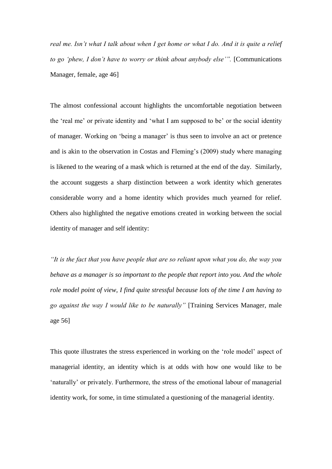*real me. Isn't what I talk about when I get home or what I do. And it is quite a relief to go 'phew, I don't have to worry or think about anybody else'".* [Communications Manager, female, age 46]

The almost confessional account highlights the uncomfortable negotiation between the 'real me' or private identity and 'what I am supposed to be' or the social identity of manager. Working on 'being a manager' is thus seen to involve an act or pretence and is akin to the observation in Costas and Fleming's (2009) study where managing is likened to the wearing of a mask which is returned at the end of the day. Similarly, the account suggests a sharp distinction between a work identity which generates considerable worry and a home identity which provides much yearned for relief. Others also highlighted the negative emotions created in working between the social identity of manager and self identity:

*"It is the fact that you have people that are so reliant upon what you do, the way you behave as a manager is so important to the people that report into you. And the whole role model point of view, I find quite stressful because lots of the time I am having to go against the way I would like to be naturally"* [Training Services Manager, male age 56]

This quote illustrates the stress experienced in working on the 'role model' aspect of managerial identity, an identity which is at odds with how one would like to be 'naturally' or privately. Furthermore, the stress of the emotional labour of managerial identity work, for some, in time stimulated a questioning of the managerial identity.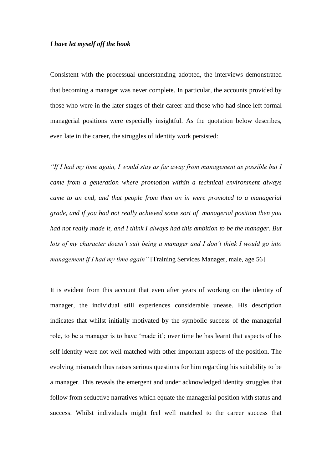# *I have let myself off the hook*

Consistent with the processual understanding adopted, the interviews demonstrated that becoming a manager was never complete. In particular, the accounts provided by those who were in the later stages of their career and those who had since left formal managerial positions were especially insightful. As the quotation below describes, even late in the career, the struggles of identity work persisted:

*"If I had my time again, I would stay as far away from management as possible but I came from a generation where promotion within a technical environment always came to an end, and that people from then on in were promoted to a managerial grade, and if you had not really achieved some sort of managerial position then you had not really made it, and I think I always had this ambition to be the manager. But lots of my character doesn't suit being a manager and I don't think I would go into management if I had my time again*" [Training Services Manager, male, age 56]

It is evident from this account that even after years of working on the identity of manager, the individual still experiences considerable unease. His description indicates that whilst initially motivated by the symbolic success of the managerial role, to be a manager is to have 'made it'; over time he has learnt that aspects of his self identity were not well matched with other important aspects of the position. The evolving mismatch thus raises serious questions for him regarding his suitability to be a manager. This reveals the emergent and under acknowledged identity struggles that follow from seductive narratives which equate the managerial position with status and success. Whilst individuals might feel well matched to the career success that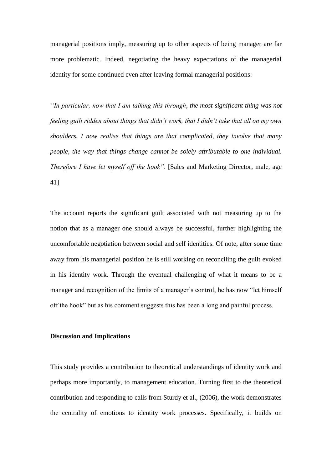managerial positions imply, measuring up to other aspects of being manager are far more problematic. Indeed, negotiating the heavy expectations of the managerial identity for some continued even after leaving formal managerial positions:

*"In particular, now that I am talking this through, the most significant thing was not feeling guilt ridden about things that didn't work, that I didn't take that all on my own shoulders. I now realise that things are that complicated, they involve that many people, the way that things change cannot be solely attributable to one individual. Therefore I have let myself off the hook"*. [Sales and Marketing Director, male, age 41]

The account reports the significant guilt associated with not measuring up to the notion that as a manager one should always be successful, further highlighting the uncomfortable negotiation between social and self identities. Of note, after some time away from his managerial position he is still working on reconciling the guilt evoked in his identity work. Through the eventual challenging of what it means to be a manager and recognition of the limits of a manager's control, he has now "let himself off the hook" but as his comment suggests this has been a long and painful process.

#### **Discussion and Implications**

This study provides a contribution to theoretical understandings of identity work and perhaps more importantly, to management education. Turning first to the theoretical contribution and responding to calls from Sturdy et al., (2006), the work demonstrates the centrality of emotions to identity work processes. Specifically, it builds on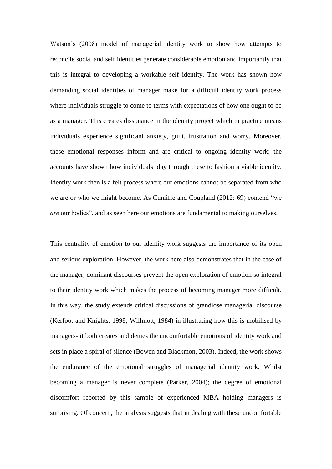Watson's (2008) model of managerial identity work to show how attempts to reconcile social and self identities generate considerable emotion and importantly that this is integral to developing a workable self identity. The work has shown how demanding social identities of manager make for a difficult identity work process where individuals struggle to come to terms with expectations of how one ought to be as a manager. This creates dissonance in the identity project which in practice means individuals experience significant anxiety, guilt, frustration and worry. Moreover, these emotional responses inform and are critical to ongoing identity work; the accounts have shown how individuals play through these to fashion a viable identity. Identity work then is a felt process where our emotions cannot be separated from who we are or who we might become. As Cunliffe and Coupland (2012: 69) contend "we *are* our bodies", and as seen here our emotions are fundamental to making ourselves.

This centrality of emotion to our identity work suggests the importance of its open and serious exploration. However, the work here also demonstrates that in the case of the manager, dominant discourses prevent the open exploration of emotion so integral to their identity work which makes the process of becoming manager more difficult. In this way, the study extends critical discussions of grandiose managerial discourse (Kerfoot and Knights, 1998; Willmott, 1984) in illustrating how this is mobilised by managers- it both creates and denies the uncomfortable emotions of identity work and sets in place a spiral of silence (Bowen and Blackmon, 2003). Indeed, the work shows the endurance of the emotional struggles of managerial identity work. Whilst becoming a manager is never complete (Parker, 2004); the degree of emotional discomfort reported by this sample of experienced MBA holding managers is surprising. Of concern, the analysis suggests that in dealing with these uncomfortable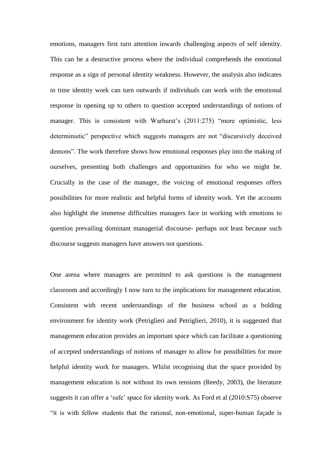emotions, managers first turn attention inwards challenging aspects of self identity. This can be a destructive process where the individual comprehends the emotional response as a sign of personal identity weakness. However, the analysis also indicates in time identity work can turn outwards if individuals can work with the emotional response in opening up to others to question accepted understandings of notions of manager. This is consistent with Warhurst's (2011:275) "more optimistic, less deterministic" perspective which suggests managers are not "discursively deceived demons". The work therefore shows how emotional responses play into the making of ourselves, presenting both challenges and opportunities for who we might be. Crucially in the case of the manager, the voicing of emotional responses offers possibilities for more realistic and helpful forms of identity work. Yet the accounts also highlight the immense difficulties managers face in working with emotions to question prevailing dominant managerial discourse- perhaps not least because such discourse suggests managers have answers not questions.

One arena where managers are permitted to ask questions is the management classroom and accordingly I now turn to the implications for management education. Consistent with recent understandings of the business school as a holding environment for identity work (Petriglieri and Petriglieri, 2010), it is suggested that management education provides an important space which can facilitate a questioning of accepted understandings of notions of manager to allow for possibilities for more helpful identity work for managers. Whilst recognising that the space provided by management education is not without its own tensions (Reedy, 2003), the literature suggests it can offer a 'safe' space for identity work. As Ford et al (2010:S75) observe "it is with fellow students that the rational, non-emotional, super-human façade is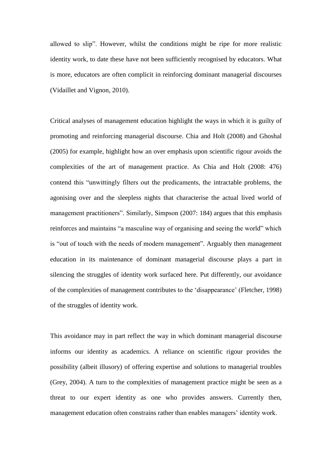allowed to slip". However, whilst the conditions might be ripe for more realistic identity work, to date these have not been sufficiently recognised by educators. What is more, educators are often complicit in reinforcing dominant managerial discourses (Vidaillet and Vignon, 2010).

Critical analyses of management education highlight the ways in which it is guilty of promoting and reinforcing managerial discourse. Chia and Holt (2008) and Ghoshal (2005) for example, highlight how an over emphasis upon scientific rigour avoids the complexities of the art of management practice. As Chia and Holt (2008: 476) contend this "unwittingly filters out the predicaments, the intractable problems, the agonising over and the sleepless nights that characterise the actual lived world of management practitioners". Similarly, Simpson (2007: 184) argues that this emphasis reinforces and maintains "a masculine way of organising and seeing the world" which is "out of touch with the needs of modern management". Arguably then management education in its maintenance of dominant managerial discourse plays a part in silencing the struggles of identity work surfaced here. Put differently, our avoidance of the complexities of management contributes to the 'disappearance' (Fletcher, 1998) of the struggles of identity work.

This avoidance may in part reflect the way in which dominant managerial discourse informs our identity as academics. A reliance on scientific rigour provides the possibility (albeit illusory) of offering expertise and solutions to managerial troubles (Grey, 2004). A turn to the complexities of management practice might be seen as a threat to our expert identity as one who provides answers. Currently then, management education often constrains rather than enables managers' identity work.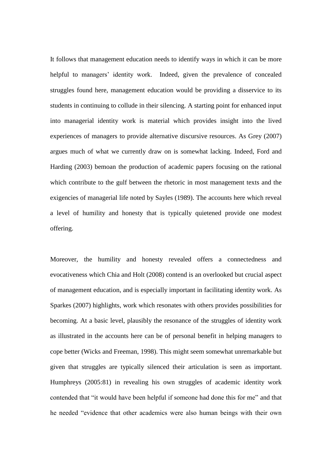It follows that management education needs to identify ways in which it can be more helpful to managers' identity work. Indeed, given the prevalence of concealed struggles found here, management education would be providing a disservice to its students in continuing to collude in their silencing. A starting point for enhanced input into managerial identity work is material which provides insight into the lived experiences of managers to provide alternative discursive resources. As Grey (2007) argues much of what we currently draw on is somewhat lacking. Indeed, Ford and Harding (2003) bemoan the production of academic papers focusing on the rational which contribute to the gulf between the rhetoric in most management texts and the exigencies of managerial life noted by Sayles (1989). The accounts here which reveal a level of humility and honesty that is typically quietened provide one modest offering.

Moreover, the humility and honesty revealed offers a connectedness and evocativeness which Chia and Holt (2008) contend is an overlooked but crucial aspect of management education, and is especially important in facilitating identity work. As Sparkes (2007) highlights, work which resonates with others provides possibilities for becoming. At a basic level, plausibly the resonance of the struggles of identity work as illustrated in the accounts here can be of personal benefit in helping managers to cope better (Wicks and Freeman, 1998). This might seem somewhat unremarkable but given that struggles are typically silenced their articulation is seen as important. Humphreys (2005:81) in revealing his own struggles of academic identity work contended that "it would have been helpful if someone had done this for me" and that he needed "evidence that other academics were also human beings with their own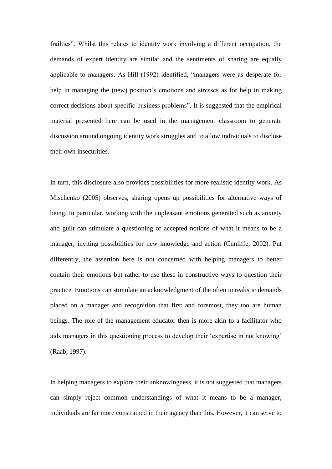frailties". Whilst this relates to identity work involving a different occupation, the demands of expert identity are similar and the sentiments of sharing are equally applicable to managers. As Hill (1992) identified, "managers were as desperate for help in managing the (new) position's emotions and stresses as for help in making correct decisions about specific business problems". It is suggested that the empirical material presented here can be used in the management classroom to generate discussion around ongoing identity work struggles and to allow individuals to disclose their own insecurities.

In turn, this disclosure also provides possibilities for more realistic identity work. As Mischenko (2005) observes, sharing opens up possibilities for alternative ways of being. In particular, working with the unpleasant emotions generated such as anxiety and guilt can stimulate a questioning of accepted notions of what it means to be a manager, inviting possibilities for new knowledge and action (Cunliffe, 2002). Put differently, the assertion here is not concerned with helping managers to better contain their emotions but rather to use these in constructive ways to question their practice. Emotions can stimulate an acknowledgment of the often unrealistic demands placed on a manager and recognition that first and foremost, they too are human beings. The role of the management educator then is more akin to a facilitator who aids managers in this questioning process to develop their 'expertise in not knowing' (Raab, 1997).

In helping managers to explore their unknowingness, it is not suggested that managers can simply reject common understandings of what it means to be a manager, individuals are far more constrained in their agency than this. However, it can serve to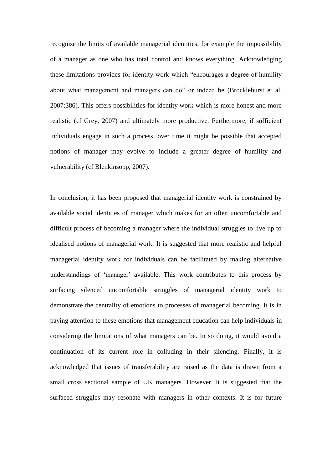recognise the limits of available managerial identities, for example the impossibility of a manager as one who has total control and knows everything. Acknowledging these limitations provides for identity work which "encourages a degree of humility about what management and managers can do" or indeed be (Brocklehurst et al, 2007:386). This offers possibilities for identity work which is more honest and more realistic (cf Grey, 2007) and ultimately more productive. Furthermore, if sufficient individuals engage in such a process, over time it might be possible that accepted notions of manager may evolve to include a greater degree of humility and vulnerability (cf Blenkinsopp, 2007).

In conclusion, it has been proposed that managerial identity work is constrained by available social identities of manager which makes for an often uncomfortable and difficult process of becoming a manager where the individual struggles to live up to idealised notions of managerial work. It is suggested that more realistic and helpful managerial identity work for individuals can be facilitated by making alternative understandings of 'manager' available. This work contributes to this process by surfacing silenced uncomfortable struggles of managerial identity work to demonstrate the centrality of emotions to processes of managerial becoming. It is in paying attention to these emotions that management education can help individuals in considering the limitations of what managers can be. In so doing, it would avoid a continuation of its current role in colluding in their silencing. Finally, it is acknowledged that issues of transferability are raised as the data is drawn from a small cross sectional sample of UK managers. However, it is suggested that the surfaced struggles may resonate with managers in other contexts. It is for future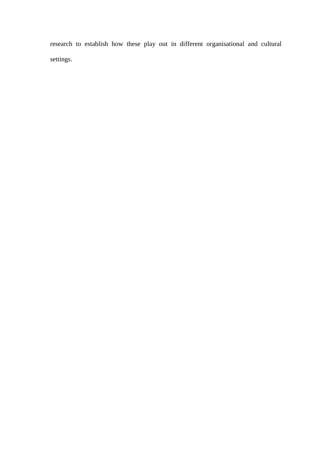research to establish how these play out in different organisational and cultural settings.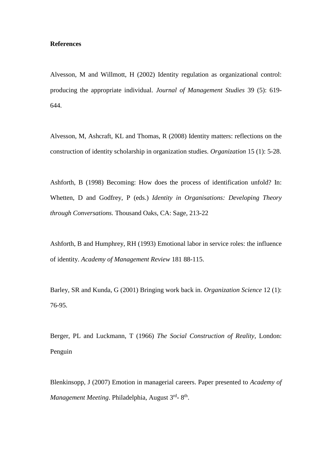## **References**

Alvesson, M and Willmott, H (2002) Identity regulation as organizational control: producing the appropriate individual. *Journal of Management Studies* 39 (5): 619- 644.

Alvesson, M, Ashcraft, KL and Thomas, R (2008) Identity matters: reflections on the construction of identity scholarship in organization studies. *Organization* 15 (1): 5-28.

Ashforth, B (1998) Becoming: How does the process of identification unfold? In: Whetten, D and Godfrey, P (eds.) *Identity in Organisations: Developing Theory through Conversations.* Thousand Oaks, CA: Sage, 213-22

Ashforth, B and Humphrey, RH (1993) Emotional labor in service roles: the influence of identity. *Academy of Management Review* 181 88-115.

Barley, SR and Kunda, G (2001) Bringing work back in. *Organization Science* 12 (1): 76-95.

Berger, PL and Luckmann, T (1966) *The Social Construction of Reality*, London: Penguin

Blenkinsopp, J (2007) Emotion in managerial careers. Paper presented to *Academy of*  Management Meeting. Philadelphia, August 3<sup>rd</sup>-8<sup>th</sup>.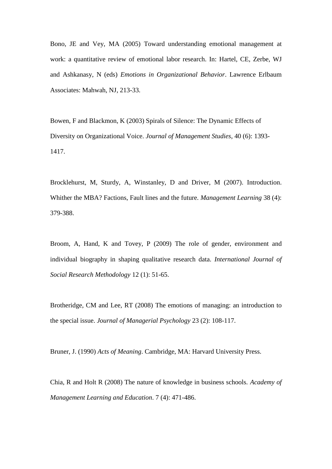Bono, JE and Vey, MA (2005) Toward understanding emotional management at work: a quantitative review of emotional labor research. In: Hartel, CE, Zerbe, WJ and Ashkanasy, N (eds) *Emotions in Organizational Behavior*. Lawrence Erlbaum Associates: Mahwah, NJ, 213-33.

Bowen, F and Blackmon, K (2003) Spirals of Silence: The Dynamic Effects of Diversity on Organizational Voice. *Journal of Management Studies*, 40 (6): 1393- 1417.

Brocklehurst, M, Sturdy, A, Winstanley, D and Driver, M (2007). Introduction. Whither the MBA? Factions, Fault lines and the future. *Management Learning* 38 (4): 379-388.

Broom, A, Hand, K and Tovey, P (2009) The role of gender, environment and individual biography in shaping qualitative research data. *International Journal of Social Research Methodology* 12 (1): 51-65.

Brotheridge, CM and Lee, RT (2008) The emotions of managing: an introduction to the special issue. *Journal of Managerial Psychology* 23 (2): 108-117.

Bruner, J. (1990) *Acts of Meaning*. Cambridge, MA: Harvard University Press.

Chia, R and Holt R (2008) The nature of knowledge in business schools. *Academy of Management Learning and Education*. 7 (4): 471-486.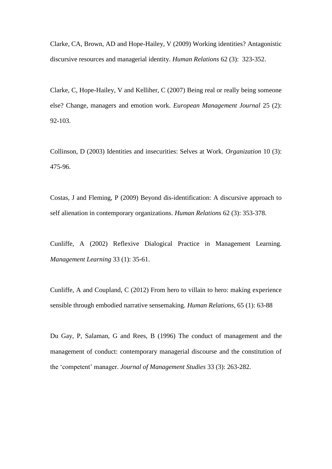Clarke, CA, Brown, AD and Hope-Hailey, V (2009) Working identities? Antagonistic discursive resources and managerial identity. *Human Relations* 62 (3): 323-352.

Clarke, C, Hope-Hailey, V and Kelliher, C (2007) Being real or really being someone else? Change, managers and emotion work. *European Management Journal* 25 (2): 92-103.

Collinson, D (2003) Identities and insecurities: Selves at Work. *Organization* 10 (3): 475-96.

Costas, J and Fleming, P (2009) Beyond dis-identification: A discursive approach to self alienation in contemporary organizations. *Human Relations* 62 (3): 353-378.

Cunliffe, A (2002) Reflexive Dialogical Practice in Management Learning. *Management Learning* 33 (1): 35-61.

Cunliffe, A and Coupland, C (2012) From hero to villain to hero: making experience sensible through embodied narrative sensemaking. *Human Relations*, 65 (1): 63-88

Du Gay, P, Salaman, G and Rees, B (1996) The conduct of management and the management of conduct: contemporary managerial discourse and the constitution of the 'competent' manager. *Journal of Management Studies* 33 (3): 263-282.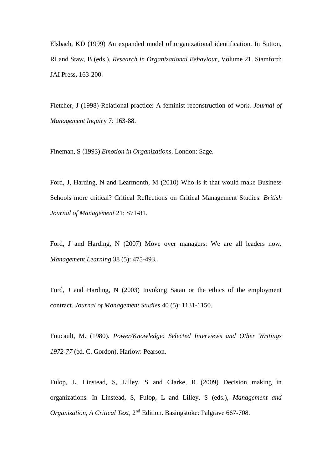Elsbach, KD (1999) An expanded model of organizational identification. In Sutton, RI and Staw, B (eds.), *Research in Organizational Behaviour*, Volume 21. Stamford: JAI Press, 163-200.

Fletcher, J (1998) Relational practice: A feminist reconstruction of work. *Journal of Management Inquir*y 7: 163-88.

Fineman, S (1993) *Emotion in Organizations*. London: Sage.

Ford, J, Harding, N and Learmonth, M (2010) Who is it that would make Business Schools more critical? Critical Reflections on Critical Management Studies. *British Journal of Management* 21: S71-81.

Ford, J and Harding, N (2007) Move over managers: We are all leaders now. *Management Learning* 38 (5): 475-493.

Ford, J and Harding, N (2003) Invoking Satan or the ethics of the employment contract. *Journal of Management Studies* 40 (5): 1131-1150.

Foucault, M. (1980). *Power/Knowledge: Selected Interviews and Other Writings 1972-77* (ed. C. Gordon). Harlow: Pearson.

Fulop, L, Linstead, S, Lilley, S and Clarke, R (2009) Decision making in organizations. In Linstead, S, Fulop, L and Lilley, S (eds.), *Management and Organization, A Critical Text*, 2nd Edition. Basingstoke: Palgrave 667-708.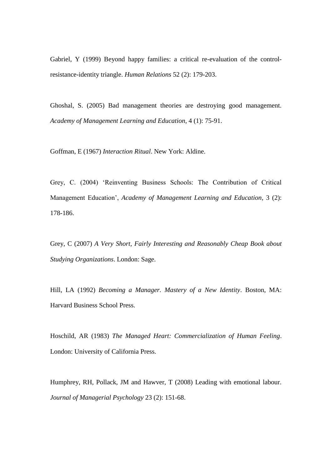Gabriel, Y (1999) Beyond happy families: a critical re-evaluation of the controlresistance-identity triangle. *Human Relations* 52 (2): 179-203.

Ghoshal, S. (2005) Bad management theories are destroying good management. *Academy of Management Learning and Education*, 4 (1): 75-91.

Goffman, E (1967) *Interaction Ritual*. New York: Aldine.

Grey, C. (2004) 'Reinventing Business Schools: The Contribution of Critical Management Education', *Academy of Management Learning and Education*, 3 (2): 178-186.

Grey, C (2007) *A Very Short, Fairly Interesting and Reasonably Cheap Book about Studying Organizations*. London: Sage.

Hill, LA (1992) *Becoming a Manager. Mastery of a New Identity*. Boston, MA: Harvard Business School Press.

Hoschild, AR (1983) *The Managed Heart: Commercialization of Human Feeling*. London: University of California Press.

Humphrey, RH, Pollack, JM and Hawver, T (2008) Leading with emotional labour. *Journal of Managerial Psychology* 23 (2): 151-68.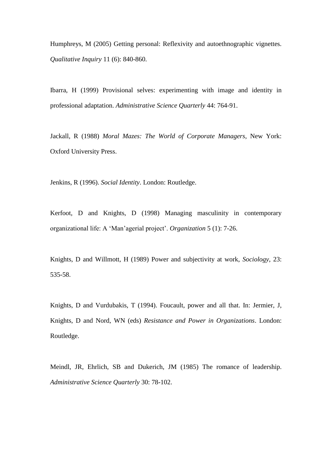Humphreys, M (2005) Getting personal: Reflexivity and autoethnographic vignettes. *Qualitative Inquiry* 11 (6): 840-860.

Ibarra, H (1999) Provisional selves: experimenting with image and identity in professional adaptation. *Administrative Science Quarterly* 44: 764-91.

Jackall, R (1988) *Moral Mazes: The World of Corporate Managers*, New York: Oxford University Press.

Jenkins, R (1996). *Social Identity*. London: Routledge.

Kerfoot, D and Knights, D (1998) Managing masculinity in contemporary organizational life: A 'Man'agerial project'. *Organization* 5 (1): 7-26.

Knights, D and Willmott, H (1989) Power and subjectivity at work, *Sociology*, 23: 535-58.

Knights, D and Vurdubakis, T (1994). Foucault, power and all that. In: Jermier, J, Knights, D and Nord, WN (eds) *Resistance and Power in Organizations*. London: Routledge.

Meindl, JR, Ehrlich, SB and Dukerich, JM (1985) The romance of leadership. *Administrative Science Quarterly* 30: 78-102.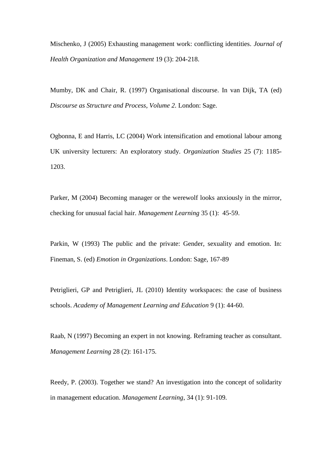Mischenko, J (2005) Exhausting management work: conflicting identities. *Journal of Health Organization and Management* 19 (3): 204-218.

Mumby, DK and Chair, R. (1997) Organisational discourse. In van Dijk, TA (ed) *Discourse as Structure and Process*, *Volume 2*. London: Sage.

Ogbonna, E and Harris, LC (2004) Work intensification and emotional labour among UK university lecturers: An exploratory study. *Organization Studies* 25 (7): 1185- 1203.

Parker, M (2004) Becoming manager or the werewolf looks anxiously in the mirror, checking for unusual facial hair. *Management Learning* 35 (1): 45-59.

Parkin, W (1993) The public and the private: Gender, sexuality and emotion. In: Fineman, S. (ed) *Emotion in Organizations*. London: Sage, 167-89

Petriglieri, GP and Petriglieri, JL (2010) Identity workspaces: the case of business schools. *Academy of Management Learning and Education* 9 (1): 44-60.

Raab, N (1997) Becoming an expert in not knowing. Reframing teacher as consultant. *Management Learning* 28 (2): 161-175.

Reedy, P. (2003). Together we stand? An investigation into the concept of solidarity in management education. *Management Learning*, 34 (1): 91-109.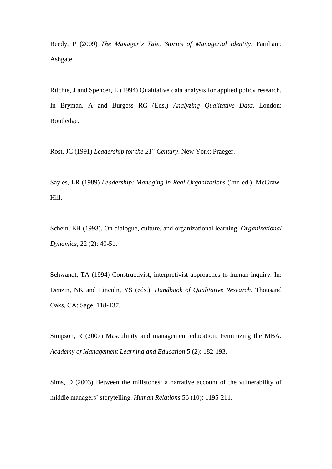Reedy, P (2009) *The Manager's Tale. Stories of Managerial Identity*. Farnham: Ashgate.

Ritchie, J and Spencer, L (1994) Qualitative data analysis for applied policy research. In Bryman, A and Burgess RG (Eds.) *Analyzing Qualitative Data*. London: Routledge.

Rost, JC (1991) *Leadership for the 21st Century*. New York: Praeger.

Sayles, LR (1989) *Leadership: Managing in Real Organizations* (2nd ed.). McGraw-Hill.

Schein, EH (1993). On dialogue, culture, and organizational learning. *Organizational Dynamics,* 22 (2): 40-51.

Schwandt, TA (1994) Constructivist, interpretivist approaches to human inquiry. In: Denzin, NK and Lincoln, YS (eds.), *Handbook of Qualitative Research*. Thousand Oaks, CA: Sage, 118-137.

Simpson, R (2007) Masculinity and management education: Feminizing the MBA. *Academy of Management Learning and Education* 5 (2): 182-193.

Sims, D (2003) Between the millstones: a narrative account of the vulnerability of middle managers' storytelling. *Human Relations* 56 (10): 1195-211.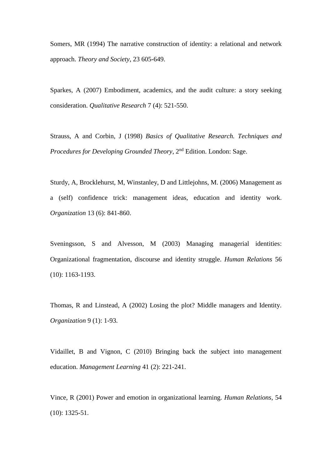Somers, MR (1994) The narrative construction of identity: a relational and network approach. *Theory and Society*, 23 605-649.

Sparkes, A (2007) Embodiment, academics, and the audit culture: a story seeking consideration. *Qualitative Research* 7 (4): 521-550.

Strauss, A and Corbin, J (1998) *Basics of Qualitative Research. Techniques and Procedures for Developing Grounded Theory*, 2<sup>nd</sup> Edition. London: Sage.

Sturdy, A, Brocklehurst, M, Winstanley, D and Littlejohns, M. (2006) Management as a (self) confidence trick: management ideas, education and identity work. *Organization* 13 (6): 841-860.

Sveningsson, S and Alvesson, M (2003) Managing managerial identities: Organizational fragmentation, discourse and identity struggle. *Human Relations* 56 (10): 1163-1193.

Thomas, R and Linstead, A (2002) Losing the plot? Middle managers and Identity. *Organization* 9 (1): 1-93.

Vidaillet, B and Vignon, C (2010) Bringing back the subject into management education. *Management Learning* 41 (2): 221-241.

Vince, R (2001) Power and emotion in organizational learning. *Human Relations*, 54 (10): 1325-51.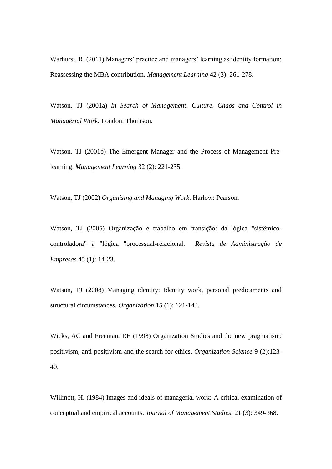Warhurst, R. (2011) Managers' practice and managers' learning as identity formation: Reassessing the MBA contribution. *Management Learning* 42 (3): 261-278.

Watson, TJ (2001a) *In Search of Management*: *Culture, Chaos and Control in Managerial Work.* London: Thomson.

Watson, TJ (2001b) The Emergent Manager and the Process of Management Prelearning. *Management Learning* 32 (2): 221-235.

Watson, TJ (2002) *Organising and Managing Work*. Harlow: Pearson.

Watson, TJ (2005) Organização e trabalho em transição: da lógica "sistêmicocontroladora" à "lógica "processual-relacional. *Revista de Administração de Empresas* 45 (1): 14-23.

Watson, TJ (2008) Managing identity: Identity work, personal predicaments and structural circumstances. *Organization* 15 (1): 121-143.

Wicks, AC and Freeman, RE (1998) Organization Studies and the new pragmatism: positivism, anti-positivism and the search for ethics. *Organization Science* 9 (2):123- 40.

Willmott, H. (1984) Images and ideals of managerial work: A critical examination of conceptual and empirical accounts. *Journal of Management Studies*, 21 (3): 349-368.